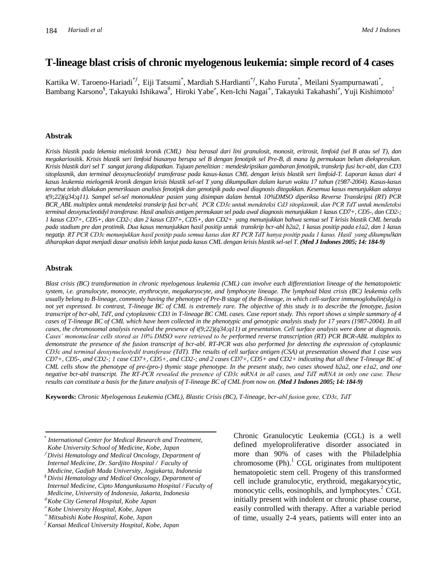# **T-lineage blast crisis of chronic myelogenous leukemia: simple record of 4 cases**

Kartika W. Taroeno-Hariadi<sup>\* f</sup>, Eiji Tatsumi<sup>\*</sup>, Mardiah S.Hardianti<sup>\* f</sup>, Kaho Furuta<sup>\*</sup>, Meilani Syampurnawati<sup>\*</sup>, Bambang Karsono<sup>§</sup>, Takayuki Ishikawa<sup>0</sup>, Hiroki Yabe<sup>≠</sup>, Ken-Ichi Nagai<sup>∞</sup>, Takayuki Takahashi<sup>≠</sup>, Yuji Kishimoto<sup>‡</sup>

#### **Abstrak**

*Krisis blastik pada lekemia mielositik kronik (CML) bisa berasal dari lini granulosit, monosit, eritrosit, limfoid (sel B atau sel T), dan megakariositik. Krisis blastik seri limfoid biasanya berupa sel B dengan fenotipik sel Pre-B, di mana Ig permukaan belum diekspresikan. Krisis blastik dari sel T sangat jarang didapatkan. Tujuan penelitian : mendeskripsikan gambaran fenotipik, transkrip fusi bcr-abl, dan CD3 sitoplasmik, dan terminal deoxynucleotidyl transferase pada kasus-kasus CML dengan krisis blastik seri limfoid-T. Laporan kasus dari 4 kasus leukemia mielogenik kronik dengan krisis blastik sel-sel T yang dikumpulkan dalam kurun waktu 17 tahun (1987-2004). Kasus-kasus tersebut telah dilakukan pemeriksaan analisis fenotipik dan genotipik pada awal diagnosis ditegakkan. Kesemua kasus menunjukkan adanya t(9;22)(q34;q11). Sampel sel-sel mononuklear pasien yang disimpan dalam bentuk 10%DMSO diperiksa Reverse Transkripsi (RT) PCR BCR\_ABL multiplex untuk mendeteksi transkrip fusi bcr-abl, PCR CD3ε untuk mendeteksi Cd3 sitoplasmik, dan PCR TdT untuk mendeteksi terminal deoxynucleotidyl transferase. Hasil analisis antigen permukaan sel pada awal diagnosis menunjukkan 1 kasus CD7+, CD5-, dan CD2-; 1 kasus CD7+, CD5+, dan CD2-; dan 2 kasus CD7+, CD5+, dan CD2+ yang menunjukkan bahwa semua sel T krisis blastik CML berada pada stadium pre dan protimik. Dua kasus menunjukkan hasil positip untuk transkrip bcr-abl b2a2, 1 kasus positip pada e1a2, dan 1 kasus negatip. RT PCR CD3ε menunjukkan hasil positip pada semua kasus dan RT PCR TdT hanya positip pada 1 kasus. Hasil yang dikumpulkan diharapkan dapat menjadi dasar analisis lebih lanjut pada kasus CML dengan krisis blastik sel-sel T. (Med J Indones 2005; 14: 184-9)*

#### **Abstrak**

*Blast crisis (BC) transformation in chronic myelogenous leukemia (CML) can involve each differentiation lineage of the hematopoietic system, i.e. granulocyte, monocyte, erythrocyte, megakaryocyte, and lymphocyte lineage. The lymphoid blast crisis (BC) leukemia cells usually belong to B-lineage, commonly having the phenotype of Pre-B stage of the B-lineage, in which cell-surface immunoglobulin(sIg) is not yet expressed. In contrast, T-lineage BC of CML is extremely rare. The objective of this study is to describe the fenotype, fusion transcript of bcr-abl, TdT, and cytoplasmic CD3 in T-lineage BC CML cases. Case report study. This report shows a simple summary of 4 cases of T-lineage BC of CML which have been collected in the phenotypic and genotypic analysis study for 17 years (1987-2004). In all cases, the chromosomal analysis revealed the presence of t(9;22)(q34;q11) at presentation. Cell surface analysis were done at diagnosis. Cases' mononuclear cells stored as 10% DMSO were retrieved to be performed reverse transcription (RT) PCR BCR-ABL multiplex to demonstrate the presence of the fusion transcript of bcr-abl. RT-PCR was also performed for detecting the expression of cytoplasmic CD3ε and terminal deoxynucleotydil transferase (TdT). The results of cell surface antigen (CSA) at presentation showed that 1 case was CD7+, CD5-, and CD2-; 1 case CD7+, CD5+, and CD2-; and 2 cases CD7+, CD5+ and CD2+ indicating that all these T-lineage BC of CML cells show the phenotype of pre-(pro-) thymic stage phenotype. In the present study, two cases showed b2a2, one e1a2, and one negative bcr-abl transcript. The RT-PCR revealed the presence of CD3ε mRNA in all cases, and TdT mRNA in only one case. These results can constitute a basis for the future analysis of T-lineage BC of CML from now on. (Med J Indones 2005; 14: 184-9)*

**Keywords:** *Chronic Myelogenous Leukemia (CML), Blastic Crisis (BC), T-lineage, bcr-abl fusion gene, CD3ε, TdT*

\* *International Center for Medical Research and Treatment, Kobe University School of Medicine, Kobe, Japan*

 *Divisi Hematology and Medical Oncology, Department of Internal Medicine, Dr. Sardjito Hospital / Faculty of Medicine, Gadjah Mada University, Jogjakarta, Indonesia*

*§ Divisi Hematology and Medical Oncology, Department of Internal Medicine, Cipto Mangunkusumo Hospital / Faculty of Medicine, University of Indonesia, Jakarta, Indonesia*

*Kobe City General Hospital, Kobe Japan*

*Kobe University Hospital, Kobe, Japan*

*Mitsubishi Kobe Hospital, Kobe, Japan*

*‡ Kansai Medical University Hospital, Kobe, Japan*

Chronic Granulocytic Leukemia (CGL) is a well defined myeloproliferative disorder associated in more than 90% of cases with the Philadelphia chromosome  $(Ph)$ .<sup>1</sup> CGL originates from multipotent hematopoietic stem cell. Progeny of this transformed cell include granulocytic, erythroid, megakaryocytic, monocytic cells, eosinophils, and lymphocytes. <sup>2</sup> CGL initially present with indolent or chronic phase course, easily controlled with therapy. After a variable period of time, usually 2-4 years, patients will enter into an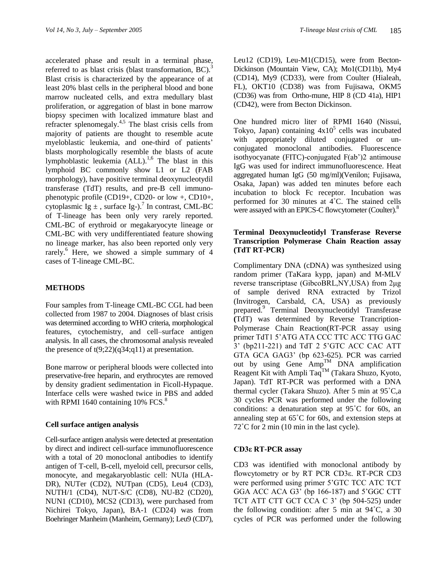accelerated phase and result in a terminal phase, referred to as blast crisis (blast transformation, BC).<sup>3</sup> Blast crisis is characterized by the appearance of at least 20% blast cells in the peripheral blood and bone marrow nucleated cells, and extra medullary blast proliferation, or aggregation of blast in bone marrow biopsy specimen with localized immature blast and refracter splenomegaly.<sup>4,5</sup> The blast crisis cells from majority of patients are thought to resemble acute myeloblastic leukemia, and one-third of patients' blasts morphologically resemble the blasts of acute lymphoblastic leukemia (ALL).<sup>1,6</sup> The blast in this lymphoid BC commonly show L1 or L2 (FAB morphology), have positive terminal deoxynucleotydil transferase (TdT) results, and pre-B cell immunophenotypic profile  $(CD19+$ ,  $CD20-$  or low  $+$ ,  $CD10+$ , cytoplasmic  $Ig \pm$ , surface Ig-).<sup>7</sup> In contrast, CML-BC of T-lineage has been only very rarely reported. CML-BC of erythroid or megakaryocyte lineage or CML-BC with very undifferentiated feature showing no lineage marker, has also been reported only very rarely. <sup>6</sup> Here, we showed a simple summary of 4 cases of T-lineage CML-BC.

# **METHODS**

Four samples from T-lineage CML-BC CGL had been collected from 1987 to 2004. Diagnoses of blast crisis was determined according to WHO criteria, morphological features, cytochemistry, and cell–surface antigen analysis. In all cases, the chromosomal analysis revealed the presence of  $t(9;22)(q34;q11)$  at presentation.

Bone marrow or peripheral bloods were collected into preservative-free heparin, and erythrocytes are removed by density gradient sedimentation in Ficoll-Hypaque. Interface cells were washed twice in PBS and added with RPMI 1640 containing  $10\%$  FCS. $8$ 

# **Cell surface antigen analysis**

Cell-surface antigen analysis were detected at presentation by direct and indirect cell-surface immunofluorescence with a total of 20 monoclonal antibodies to identify antigen of T-cell, B-cell, myeloid cell, precursor cells, monocyte, and megakaryoblastic cell: NUIa (HLA-DR), NUTer (CD2), NUTpan (CD5), Leu4 (CD3), NUTH/1 (CD4), NUT-S/C (CD8), NU-B2 (CD20), NUN1 (CD10), MCS2 (CD13), were purchased from Nichirei Tokyo, Japan), BA-1 (CD24) was from Boehringer Manheim (Manheim, Germany); Leu9 (CD7),

Leu12 (CD19), Leu-M1(CD15), were from Becton-Dickinson (Mountain View, CA); Mo1(CD11b), My4 (CD14), My9 (CD33), were from Coulter (Hialeah, FL), OKT10 (CD38) was from Fujisawa, OKM5 (CD36) was from Ortho-mune, HIP 8 (CD 41a), HIP1 (CD42), were from Becton Dickinson.

One hundred micro liter of RPMI 1640 (Nissui, Tokyo, Japan) containing  $4x10^5$  cells was incubated with appropriately diluted conjugated or unconjugated monoclonal antibodies. Fluorescence isothyocyanate (FITC)-conjugated F(ab')2 antimouse IgG was used for indirect immunofluorescence. Heat aggregated human IgG (50 mg/ml)(Venilon; Fujisawa, Osaka, Japan) was added ten minutes before each incubation to block Fc receptor. Incubation was performed for 30 minutes at 4˚C. The stained cells were assayed with an EPICS-C flowcytometer (Coulter).<sup>8</sup>

### **Terminal Deoxynucleotidyl Transferase Reverse Transcription Polymerase Chain Reaction assay (TdT RT-PCR)**

Complimentary DNA (cDNA) was synthesized using random primer (TaKara kypp, japan) and M-MLV reverse transcriptase (GibcoBRL,NY,USA) from 2μg of sample derived RNA extracted by Trizol (Invitrogen, Carsbald, CA, USA) as previously prepared. 9 Terminal Deoxynucleotidyl Transferase **(**TdT) was determined by Reverse Trancription-Polymerase Chain Reaction(RT-PCR assay using primer TdT1 5'ATG ATA CCC TTC ACC TTG GAC 3' (bp211-221) and TdT 2 5'GTC ACC CAC ATT GTA GCA GAG3' (bp 623-625). PCR was carried out by using Gene  $Amp^{TM}$  DNA amplification Reagent Kit with Ampli Taq<sup>TM</sup> (Takara Shuzo, Kyoto, Japan). TdT RT-PCR was performed with a DNA thermal cycler (Takara Shuzo). After 5 min at 95˚C,a 30 cycles PCR was performed under the following conditions: a denaturation step at 95˚C for 60s, an annealing step at 65˚C for 60s, and extension steps at 72˚C for 2 min (10 min in the last cycle).

# **CD3ε RT-PCR assay**

CD3 was identified with monoclonal antibody by flowcytometry or by RT PCR CD3ε. RT-PCR CD3 were performed using primer 5'GTC TCC ATC TCT GGA ACC ACA G3' (bp 166-187) and 5'GGC CTT TCT ATT CTT GCT CCA C 3' (bp 504-525) under the following condition: after 5 min at 94˚C, a 30 cycles of PCR was performed under the following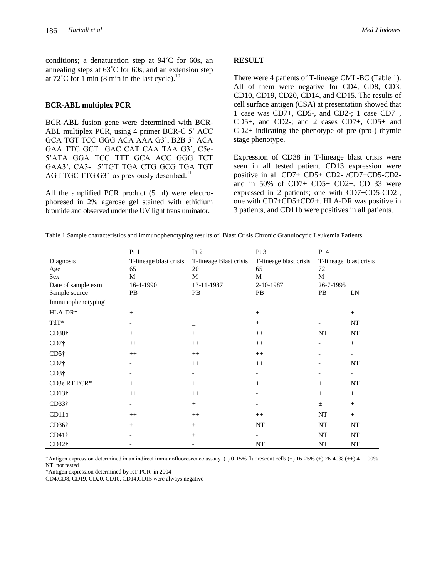conditions; a denaturation step at 94˚C for 60s, an annealing steps at 63˚C for 60s, and an extension step at  $72^{\circ}$ C for 1 min (8 min in the last cycle).<sup>10</sup>

#### **BCR-ABL multiplex PCR**

BCR-ABL fusion gene were determined with BCR-ABL multiplex PCR, using 4 primer BCR-C 5' ACC GCA TGT TCC GGG ACA AAA G3', B2B 5' ACA GAA TTC GCT GAC CAT CAA TAA G3', C5e-5'ATA GGA TCC TTT GCA ACC GGG TCT GAA3', CA3- 5'TGT TGA CTG GCG TGA TGT AGT TGC TTG G3' as previously described.<sup>11</sup>

All the amplified PCR product  $(5 \mu l)$  were electrophoresed in 2% agarose gel stained with ethidium bromide and observed under the UV light transluminator.

#### **RESULT**

There were 4 patients of T-lineage CML-BC (Table 1). All of them were negative for CD4, CD8, CD3, CD10, CD19, CD20, CD14, and CD15. The results of cell surface antigen (CSA) at presentation showed that 1 case was CD7+, CD5-, and CD2-; 1 case CD7+, CD5+, and CD2-; and 2 cases CD7+, CD5+ and CD2+ indicating the phenotype of pre-(pro-) thymic stage phenotype.

Expression of CD38 in T-lineage blast crisis were seen in all tested patient. CD13 expression were positive in all CD7+ CD5+ CD2- /CD7+CD5-CD2 and in 50% of CD7+ CD5+ CD2+. CD 33 were expressed in 2 patients; one with CD7+CD5-CD2-, one with CD7+CD5+CD2+. HLA-DR was positive in 3 patients, and CD11b were positives in all patients.

|  |  |  |  |  | Table 1.Sample characteristics and immunophenotyping results of Blast Crisis Chronic Granulocytic Leukemia Patients |  |  |
|--|--|--|--|--|---------------------------------------------------------------------------------------------------------------------|--|--|
|  |  |  |  |  |                                                                                                                     |  |  |

|                                | Pt1                      | Pt 2                   | Pt <sub>3</sub>        | Pt 4                   |                          |
|--------------------------------|--------------------------|------------------------|------------------------|------------------------|--------------------------|
| Diagnosis                      | T-lineage blast crisis   | T-lineage Blast crisis | T-lineage blast crisis | T-lineage blast crisis |                          |
| Age                            | 65                       | 20                     | 65                     | 72                     |                          |
| Sex                            | M                        | M                      | M                      | M                      |                          |
| Date of sample exm             | 16-4-1990                | 13-11-1987             | 2-10-1987              | 26-7-1995              |                          |
| Sample source                  | PB                       | PB                     | PB                     | PB                     | LN                       |
| Immunophenotyping <sup>a</sup> |                          |                        |                        |                        |                          |
| HLA-DR†                        | $+$                      |                        | $\pm$                  |                        | $+$                      |
| TdT*                           | $\overline{\phantom{a}}$ |                        | $^{+}$                 |                        | NT                       |
| $CD38\dagger$                  | $^{+}$                   | $+$                    | $^{++}$                | NT                     | NT                       |
| CD7 <sup>†</sup>               | $^{++}$                  | $^{++}$                | $^{++}$                |                        | $^{++}$                  |
| $CD5\dagger$                   | $++$                     | $++$                   | $++$                   |                        | $\overline{\phantom{a}}$ |
| $CD2\dagger$                   |                          | $^{++}$                | $^{++}$                |                        | NT                       |
| $CD3\dagger$                   |                          |                        |                        |                        | $\overline{\phantom{a}}$ |
| CD3ε RT PCR*                   | $+$                      | $+$                    | $+$                    | $+$                    | NT                       |
| CD13 <sup>†</sup>              | $^{++}$                  | $^{++}$                |                        | $++$                   | $+$                      |
| $CD33\dagger$                  | $\overline{\phantom{a}}$ | $+$                    |                        | $\pm$                  | $+$                      |
| CD11b                          | $++$                     | $++$                   | $^{++}$                | NT                     | $+$                      |
| $CD36\dagger$                  | $\pm$                    | $\pm$                  | NT                     | NT                     | NT                       |
| $CD41\dagger$                  |                          | $\pm$                  |                        | NT                     | NT                       |
| CD42†                          |                          |                        | NT                     | NT                     | NT                       |

†Antigen expression determined in an indirect immunofluorescence assaay (-) 0-15% fluorescent cells (±) 16-25% (+) 26-40% (++) 41-100% NT: not tested

\*Antigen expression determined by RT-PCR in 2004

CD4,CD8, CD19, CD20, CD10, CD14,CD15 were always negative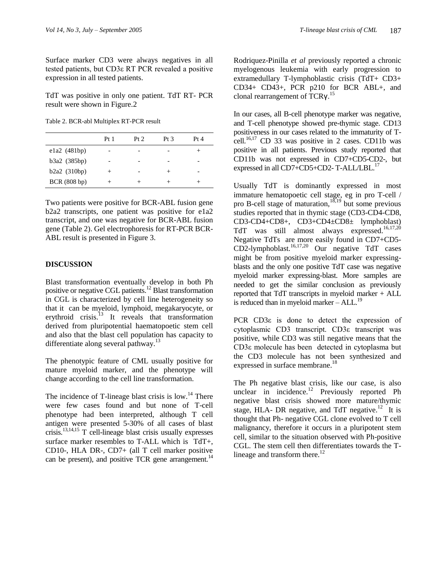Surface marker CD3 were always negatives in all tested patients, but CD3ε RT PCR revealed a positive expression in all tested patients.

TdT was positive in only one patient. TdT RT- PCR result were shown in Figure.2

Table 2. BCR-abl Multiplex RT-PCR result

|              | Pt <sub>1</sub> | Pr 2 | Pt 3 | Pt 4 |
|--------------|-----------------|------|------|------|
| ela2(481bp)  |                 |      |      | +    |
| b3a2 (385bp) |                 |      |      |      |
| b2a2(310bp)  | $^+$            |      | +    |      |
| BCR (808 bp) |                 |      |      |      |

Two patients were positive for BCR-ABL fusion gene b2a2 transcripts, one patient was positive for e1a2 transcript, and one was negative for BCR-ABL fusion gene (Table 2). Gel electrophoresis for RT-PCR BCR-ABL result is presented in Figure 3.

# **DISCUSSION**

Blast transformation eventually develop in both Ph positive or negative CGL patients.<sup>12</sup> Blast transformation in CGL is characterized by cell line heterogeneity so that it can be myeloid, lymphoid, megakaryocyte, or erythroid crisis. $13$  It reveals that transformation derived from pluripotential haematopoetic stem cell and also that the blast cell population has capacity to differentiate along several pathway.<sup>13</sup>

The phenotypic feature of CML usually positive for mature myeloid marker, and the phenotype will change according to the cell line transformation.

The incidence of T-lineage blast crisis is  $low.<sup>14</sup>$  There were few cases found and but none of T-cell phenotype had been interpreted, although T cell antigen were presented 5-30% of all cases of blast crisis.13,14,15 T cell-lineage blast crisis usually expresses surface marker resembles to T-ALL which is TdT+, CD10-, HLA DR-, CD7+ (all T cell marker positive can be present), and positive TCR gene arrangement.<sup>14</sup>

Rodriquez-Pinilla *et al* previously reported a chronic myelogenous leukemia with early progression to extramedullary T-lymphoblastic crisis (TdT+ CD3+ CD34+ CD43+, PCR p210 for BCR ABL+, and clonal rearrangement of TCRγ.<sup>15</sup>

In our cases, all B-cell phenotype marker was negative, and T-cell phenotype showed pre-thymic stage. CD13 positiveness in our cases related to the immaturity of Tcell.<sup>16,17</sup> CD 33 was positive in 2 cases. CD11b was positive in all patients. Previous study reported that CD11b was not expressed in CD7+CD5-CD2-, but expressed in all CD7+CD5+CD2-T-ALL/LBL.<sup>17</sup>

Usually TdT is dominantly expressed in most immature hematopoetic cell stage, eg in pro T-cell / pro B-cell stage of maturation, $18,19$  but some previous studies reported that in thymic stage (CD3-CD4-CD8, CD3-CD4+CD8+, CD3+CD4±CD8± lymphoblast) TdT was still almost always expressed.<sup>16,17,20</sup> Negative TdTs are more easily found in CD7+CD5-  $CD2$ -lymphoblast.<sup>16,17,20</sup> Our negative TdT cases might be from positive myeloid marker expressingblasts and the only one positive TdT case was negative myeloid marker expressing-blast. More samples are needed to get the similar conclusion as previously reported that TdT transcripts in myeloid marker + ALL is reduced than in myeloid marker  $-$  ALL.<sup>19</sup>

PCR CD3ε is done to detect the expression of cytoplasmic CD3 transcript. CD3ε transcript was positive, while CD3 was still negative means that the CD3ε molecule has been detected in cytoplasma but the CD3 molecule has not been synthesized and expressed in surface membrane.<sup>18</sup>

The Ph negative blast crisis, like our case, is also unclear in incidence.<sup>12</sup> Previously reported Ph negative blast crisis showed more mature/thymic stage, HLA- DR negative, and TdT negative.<sup>12</sup> It is thought that Ph- negative CGL clone evolved to T cell malignancy, therefore it occurs in a pluripotent stem cell, similar to the situation observed with Ph-positive CGL. The stem cell then differentiates towards the Tlineage and transform there.<sup>12</sup>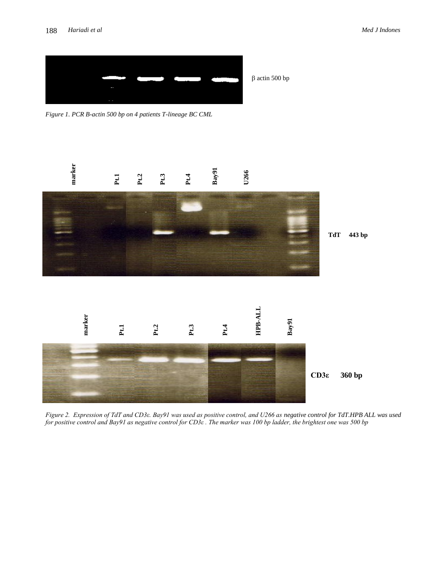

*Figure 1. PCR B-actin 500 bp on 4 patients T-lineage BC CML*



 $\upbeta$ actin 500 bp

*Figure 2. Expression of TdT and CD3ε. Bay91 was used as positive control, and U266 as negative control for TdT.HPB ALL was used for positive control and Bay91 as negative control for CD3ε . The marker was 100 bp ladder, the brightest one was 500 bp*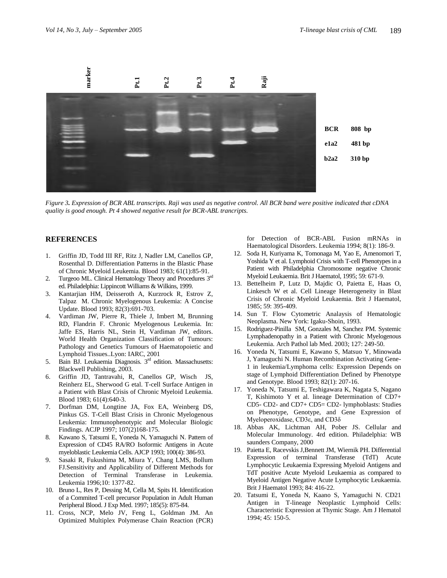

*Figure 3. Expression of BCR ABL transcripts. Raji was used as negative control. All BCR band were positive indicated that cDNA quality is good enough. Pt 4 showed negative result for BCR-ABL trancripts.*

#### **REFERENCES**

- 1. Griffin JD, Todd III RF, Ritz J, Nadler LM, Canellos GP, Rosenthal D. Differentiation Patterns in the Blastic Phase of Chronic Myeloid Leukemia. Blood 1983; 61(1):85-91.
- 2. Turgeoo ML. Clinical Hematology Theory and Procedures  $3<sup>rd</sup>$ ed. Philadelphia: Lippincott Williams & Wilkins, 1999.
- 3. Kantarjian HM, Deisseroth A, Kurzrock R, Estrov Z, Talpaz M. Chronic Myelogenous Leukemia: A Concise Update. Blood 1993; 82(3):691-703.
- 4. Vardiman JW, Pierre R, Thiele J, Imbert M, Brunning RD, Flandrin F. Chronic Myelogenous Leukemia. In: Jaffe ES, Harris NL, Stein H, Vardiman JW, editors. World Health Organization Classification of Tumours: Pathology and Genetics Tumours of Haematopoietic and Lymphoid Tissues..Lyon: IARC, 2001
- 5. Bain BJ. Leukaemia Diagnosis. 3rd edition. Massachusetts: Blackwell Publishing, 2003.
- 6. Griffin JD, Tantravahi, R, Canellos GP, Wisch JS, Reinherz EL, Sherwood G etal. T-cell Surface Antigen in a Patient with Blast Crisis of Chronic Myeloid Leukemia. Blood 1983; 61(4):640-3.
- 7. Dorfman DM, Longtine JA, Fox EA, Weinberg DS, Pinkus GS. T-Cell Blast Crisis in Chronic Myelogenous Leukemia: Immunophenotypic and Molecular Biologic Findings. ACJP 1997; 107(2)168-175.
- 8. Kawano S, Tatsumi E, Yoneda N, Yamaguchi N. Pattern of Expression of CD45 RA/RO Isoformic Antigens in Acute myeloblastic Leukemia Cells. AJCP 1993; 100(4): 386-93.
- 9. Sasaki R, Fukushima M, Miura Y, Chang LMS, Bollum FJ.Sensitivity and Applicability of Different Methods for Detection of Terminal Transferase in Leukemia. Leukemia 1996;10: 1377-82.
- 10. Bruno L, Res P, Dessing M, Cella M, Spits H. Identification of a Commited T-cell precursor Population in Adult Human Peripheral Blood. J Exp Med. 1997; 185(5): 875-84.
- 11. Cross, NCP, Melo JV, Feng L, Goldman JM. An Optimized Multiplex Polymerase Chain Reaction (PCR)

for Detection of BCR-ABL Fusion mRNAs in Haematological Disorders. Leukemia 1994; 8(1): 186-9.

- 12. Soda H, Kuriyama K, Tomonaga M, Yao E, Amenomori T, Yoshida Y et al. Lymphoid Crisis with T-cell Phenotypes in a Patient with Philadelphia Chromosome negative Chronic Myeloid Leukaemia. Brit J Haematol, 1995; 59: 671-9.
- 13. Bettelheim P, Lutz D, Majdic O, Paietta E, Haas O, Linkesch W et al. Cell Lineage Heterogeneity in Blast Crisis of Chronic Myeloid Leukaemia. Brit J Haematol, 1985; 59: 395-409.
- 14. Sun T. Flow Cytometric Analaysis of Hematologic Neoplasma. New York: Igaku-Shoin, 1993.
- 15. Rodriguez-Pinilla SM, Gonzales M, Sanchez PM. Systemic Lymphadenopathy in a Patient with Chronic Myelogenous Leukemia. Arch Pathol lab Med. 2003; 127: 249-50.
- 16. Yoneda N, Tatsumi E, Kawano S, Matsuo Y, Minowada J, Yamaguchi N. Human Recombination Activating Gene-1 in leukemia/Lymphoma cells: Expression Depends on stage of Lymphoid Differentiation Defined by Phenotype and Genotype. Blood 1993; 82(1): 207-16.
- 17. Yoneda N, Tatsumi E, Teshigawara K, Nagata S, Nagano T, Kishimoto Y et al. lineage Determination of CD7+ CD5- CD2- and CD7+ CD5= CD2- lymphoblasts: Studies on Phenotype, Genotype, and Gene Expression of Myeloperoxidase, CD3ε, and CD3δ
- 18. Abbas AK, Lichtman AH, Pober JS. Cellular and Molecular Immunology. 4rd edition. Philadelphia: WB saunders Company, 2000
- 19. Paietta E, Racevskis J,Bennett JM, Wiernik PH. Differential Expression of terminal Transferase (TdT) Acute Lymphocytic Leukaemia Expressing Myeloid Antigens and TdT positive Acute Myeloid Leukaemia as compared to Myeloid Antigen Negative Acute Lymphocytic Leukaemia. Brit J Haematol 1993; 84: 416-22.
- 20. Tatsumi E, Yoneda N, Kaano S, Yamaguchi N. CD21 Antigen in T-lineage Neoplastic Lymphoid Cells: Characteristic Expression at Thymic Stage. Am J Hematol 1994; 45: 150-5.